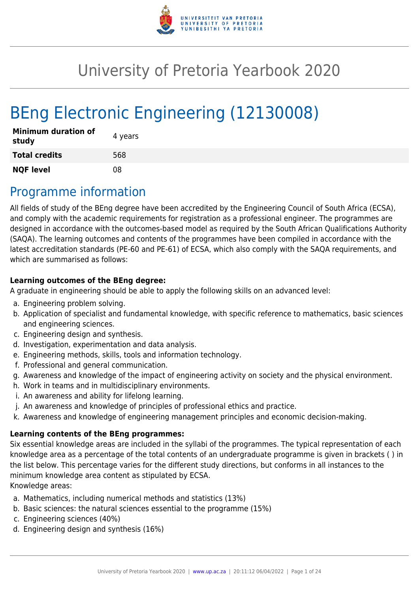

# University of Pretoria Yearbook 2020

# BEng Electronic Engineering (12130008)

| <b>Minimum duration of</b><br>study | 4 years |
|-------------------------------------|---------|
| <b>Total credits</b>                | 568     |
| <b>NQF level</b>                    | 08      |

## Programme information

All fields of study of the BEng degree have been accredited by the Engineering Council of South Africa (ECSA), and comply with the academic requirements for registration as a professional engineer. The programmes are designed in accordance with the outcomes-based model as required by the South African Qualifications Authority (SAQA). The learning outcomes and contents of the programmes have been compiled in accordance with the latest accreditation standards (PE-60 and PE-61) of ECSA, which also comply with the SAQA requirements, and which are summarised as follows:

#### **Learning outcomes of the BEng degree:**

A graduate in engineering should be able to apply the following skills on an advanced level:

- a. Engineering problem solving.
- b. Application of specialist and fundamental knowledge, with specific reference to mathematics, basic sciences and engineering sciences.
- c. Engineering design and synthesis.
- d. Investigation, experimentation and data analysis.
- e. Engineering methods, skills, tools and information technology.
- f. Professional and general communication.
- g. Awareness and knowledge of the impact of engineering activity on society and the physical environment.
- h. Work in teams and in multidisciplinary environments.
- i. An awareness and ability for lifelong learning.
- j. An awareness and knowledge of principles of professional ethics and practice.
- k. Awareness and knowledge of engineering management principles and economic decision-making.

#### **Learning contents of the BEng programmes:**

Six essential knowledge areas are included in the syllabi of the programmes. The typical representation of each knowledge area as a percentage of the total contents of an undergraduate programme is given in brackets ( ) in the list below. This percentage varies for the different study directions, but conforms in all instances to the minimum knowledge area content as stipulated by ECSA.

Knowledge areas:

- a. Mathematics, including numerical methods and statistics (13%)
- b. Basic sciences: the natural sciences essential to the programme (15%)
- c. Engineering sciences (40%)
- d. Engineering design and synthesis (16%)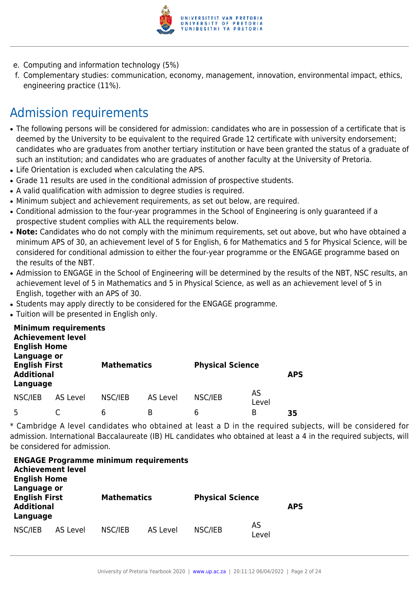

- e. Computing and information technology (5%)
- f. Complementary studies: communication, economy, management, innovation, environmental impact, ethics, engineering practice (11%).

## Admission requirements

- The following persons will be considered for admission: candidates who are in possession of a certificate that is deemed by the University to be equivalent to the required Grade 12 certificate with university endorsement; candidates who are graduates from another tertiary institution or have been granted the status of a graduate of such an institution; and candidates who are graduates of another faculty at the University of Pretoria.
- Life Orientation is excluded when calculating the APS.
- Grade 11 results are used in the conditional admission of prospective students.
- A valid qualification with admission to degree studies is required.
- Minimum subject and achievement requirements, as set out below, are required.
- Conditional admission to the four-year programmes in the School of Engineering is only guaranteed if a prospective student complies with ALL the requirements below.
- Note: Candidates who do not comply with the minimum requirements, set out above, but who have obtained a minimum APS of 30, an achievement level of 5 for English, 6 for Mathematics and 5 for Physical Science, will be considered for conditional admission to either the four-year programme or the ENGAGE programme based on the results of the NBT.
- Admission to ENGAGE in the School of Engineering will be determined by the results of the NBT, NSC results, an achievement level of 5 in Mathematics and 5 in Physical Science, as well as an achievement level of 5 in English, together with an APS of 30.
- Students may apply directly to be considered for the ENGAGE programme.
- Tuition will be presented in English only.

| <b>Achievement level</b><br><b>English Home</b><br>Language or | <b>Minimum requirements</b> |                    |          |                         |             |            |
|----------------------------------------------------------------|-----------------------------|--------------------|----------|-------------------------|-------------|------------|
| <b>English First</b><br><b>Additional</b><br>Language          |                             | <b>Mathematics</b> |          | <b>Physical Science</b> |             | <b>APS</b> |
| NSC/IEB                                                        | AS Level                    | NSC/IEB            | AS Level | NSC/IEB                 | AS<br>Level |            |
| 5                                                              |                             | 6                  | B        | 6                       | В           | 35         |

\* Cambridge A level candidates who obtained at least a D in the required subjects, will be considered for admission. International Baccalaureate (IB) HL candidates who obtained at least a 4 in the required subjects, will be considered for admission.

| <b>Achievement level</b><br><b>English Home</b>                      | <b>ENGAGE Programme minimum requirements</b> |                    |          |                         |             |            |
|----------------------------------------------------------------------|----------------------------------------------|--------------------|----------|-------------------------|-------------|------------|
| Language or<br><b>English First</b><br><b>Additional</b><br>Language |                                              | <b>Mathematics</b> |          | <b>Physical Science</b> |             | <b>APS</b> |
| NSC/IEB                                                              | AS Level                                     | NSC/IEB            | AS Level | NSC/IEB                 | AS<br>Level |            |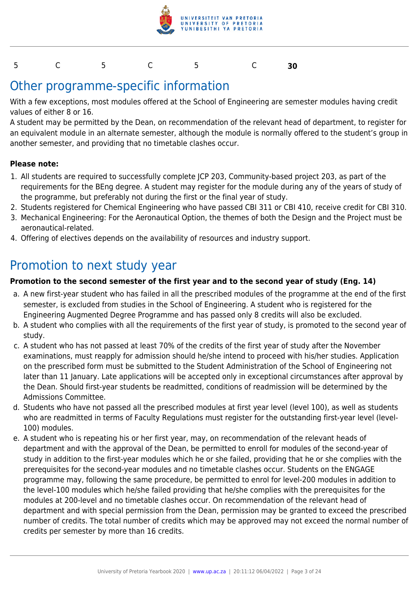

#### 5 C 5 C 5 C **30**

### Other programme-specific information

With a few exceptions, most modules offered at the School of Engineering are semester modules having credit values of either 8 or 16.

A student may be permitted by the Dean, on recommendation of the relevant head of department, to register for an equivalent module in an alternate semester, although the module is normally offered to the student's group in another semester, and providing that no timetable clashes occur.

#### **Please note:**

- 1. All students are required to successfully complete JCP 203, Community-based project 203, as part of the requirements for the BEng degree. A student may register for the module during any of the years of study of the programme, but preferably not during the first or the final year of study.
- 2. Students registered for Chemical Engineering who have passed CBI 311 or CBI 410, receive credit for CBI 310.
- 3. Mechanical Engineering: For the Aeronautical Option, the themes of both the Design and the Project must be aeronautical-related.
- 4. Offering of electives depends on the availability of resources and industry support.

### Promotion to next study year

#### **Promotion to the second semester of the first year and to the second year of study (Eng. 14)**

- a. A new first-year student who has failed in all the prescribed modules of the programme at the end of the first semester, is excluded from studies in the School of Engineering. A student who is registered for the Engineering Augmented Degree Programme and has passed only 8 credits will also be excluded.
- b. A student who complies with all the requirements of the first year of study, is promoted to the second year of study.
- c. A student who has not passed at least 70% of the credits of the first year of study after the November examinations, must reapply for admission should he/she intend to proceed with his/her studies. Application on the prescribed form must be submitted to the Student Administration of the School of Engineering not later than 11 January. Late applications will be accepted only in exceptional circumstances after approval by the Dean. Should first-year students be readmitted, conditions of readmission will be determined by the Admissions Committee.
- d. Students who have not passed all the prescribed modules at first year level (level 100), as well as students who are readmitted in terms of Faculty Regulations must register for the outstanding first-year level (level-100) modules.
- e. A student who is repeating his or her first year, may, on recommendation of the relevant heads of department and with the approval of the Dean, be permitted to enroll for modules of the second-year of study in addition to the first-year modules which he or she failed, providing that he or she complies with the prerequisites for the second-year modules and no timetable clashes occur. Students on the ENGAGE programme may, following the same procedure, be permitted to enrol for level-200 modules in addition to the level-100 modules which he/she failed providing that he/she complies with the prerequisites for the modules at 200-level and no timetable clashes occur. On recommendation of the relevant head of department and with special permission from the Dean, permission may be granted to exceed the prescribed number of credits. The total number of credits which may be approved may not exceed the normal number of credits per semester by more than 16 credits.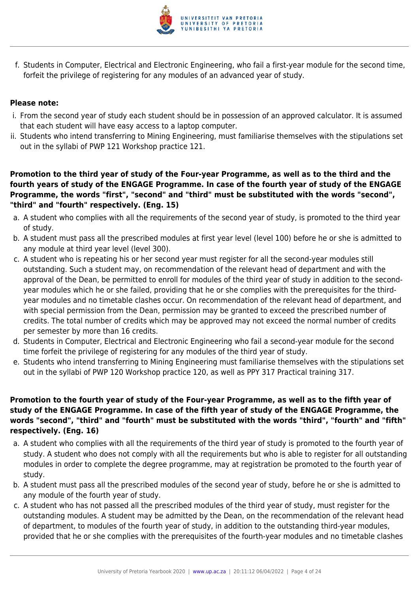

f. Students in Computer, Electrical and Electronic Engineering, who fail a first-year module for the second time, forfeit the privilege of registering for any modules of an advanced year of study.

#### **Please note:**

- i. From the second year of study each student should be in possession of an approved calculator. It is assumed that each student will have easy access to a laptop computer.
- ii. Students who intend transferring to Mining Engineering, must familiarise themselves with the stipulations set out in the syllabi of PWP 121 Workshop practice 121.

**Promotion to the third year of study of the Four-year Programme, as well as to the third and the fourth years of study of the ENGAGE Programme. In case of the fourth year of study of the ENGAGE Programme, the words "first", "second" and "third" must be substituted with the words "second", "third" and "fourth" respectively. (Eng. 15)**

- a. A student who complies with all the requirements of the second year of study, is promoted to the third year of study.
- b. A student must pass all the prescribed modules at first year level (level 100) before he or she is admitted to any module at third year level (level 300).
- c. A student who is repeating his or her second year must register for all the second-year modules still outstanding. Such a student may, on recommendation of the relevant head of department and with the approval of the Dean, be permitted to enroll for modules of the third year of study in addition to the secondyear modules which he or she failed, providing that he or she complies with the prerequisites for the thirdyear modules and no timetable clashes occur. On recommendation of the relevant head of department, and with special permission from the Dean, permission may be granted to exceed the prescribed number of credits. The total number of credits which may be approved may not exceed the normal number of credits per semester by more than 16 credits.
- d. Students in Computer, Electrical and Electronic Engineering who fail a second-year module for the second time forfeit the privilege of registering for any modules of the third year of study.
- e. Students who intend transferring to Mining Engineering must familiarise themselves with the stipulations set out in the syllabi of PWP 120 Workshop practice 120, as well as PPY 317 Practical training 317.

#### **Promotion to the fourth year of study of the Four-year Programme, as well as to the fifth year of study of the ENGAGE Programme. In case of the fifth year of study of the ENGAGE Programme, the words "second", "third" and "fourth" must be substituted with the words "third", "fourth" and "fifth" respectively. (Eng. 16)**

- a. A student who complies with all the requirements of the third year of study is promoted to the fourth year of study. A student who does not comply with all the requirements but who is able to register for all outstanding modules in order to complete the degree programme, may at registration be promoted to the fourth year of study.
- b. A student must pass all the prescribed modules of the second year of study, before he or she is admitted to any module of the fourth year of study.
- c. A student who has not passed all the prescribed modules of the third year of study, must register for the outstanding modules. A student may be admitted by the Dean, on the recommendation of the relevant head of department, to modules of the fourth year of study, in addition to the outstanding third-year modules, provided that he or she complies with the prerequisites of the fourth-year modules and no timetable clashes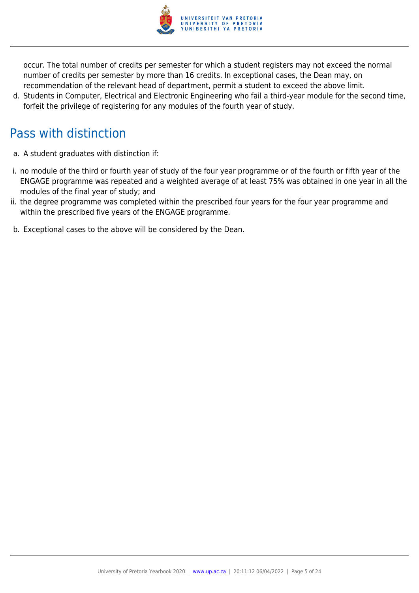

occur. The total number of credits per semester for which a student registers may not exceed the normal number of credits per semester by more than 16 credits. In exceptional cases, the Dean may, on recommendation of the relevant head of department, permit a student to exceed the above limit.

d. Students in Computer, Electrical and Electronic Engineering who fail a third-year module for the second time, forfeit the privilege of registering for any modules of the fourth year of study.

## Pass with distinction

- a. A student graduates with distinction if:
- i. no module of the third or fourth year of study of the four year programme or of the fourth or fifth year of the ENGAGE programme was repeated and a weighted average of at least 75% was obtained in one year in all the modules of the final year of study; and
- ii. the degree programme was completed within the prescribed four years for the four year programme and within the prescribed five years of the ENGAGE programme.
- b. Exceptional cases to the above will be considered by the Dean.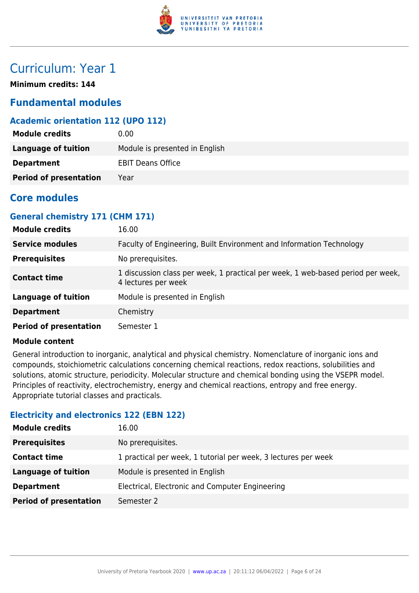

### Curriculum: Year 1

**Minimum credits: 144**

#### **Fundamental modules**

#### **Academic orientation 112 (UPO 112)**

| <b>Module credits</b>         | 0.00                           |
|-------------------------------|--------------------------------|
| Language of tuition           | Module is presented in English |
| <b>Department</b>             | <b>EBIT Deans Office</b>       |
| <b>Period of presentation</b> | Year                           |

#### **Core modules**

#### **General chemistry 171 (CHM 171)**

| <b>Module credits</b>         | 16.00                                                                                                  |
|-------------------------------|--------------------------------------------------------------------------------------------------------|
| <b>Service modules</b>        | Faculty of Engineering, Built Environment and Information Technology                                   |
| <b>Prerequisites</b>          | No prerequisites.                                                                                      |
| <b>Contact time</b>           | 1 discussion class per week, 1 practical per week, 1 web-based period per week,<br>4 lectures per week |
| <b>Language of tuition</b>    | Module is presented in English                                                                         |
| <b>Department</b>             | Chemistry                                                                                              |
| <b>Period of presentation</b> | Semester 1                                                                                             |

#### **Module content**

General introduction to inorganic, analytical and physical chemistry. Nomenclature of inorganic ions and compounds, stoichiometric calculations concerning chemical reactions, redox reactions, solubilities and solutions, atomic structure, periodicity. Molecular structure and chemical bonding using the VSEPR model. Principles of reactivity, electrochemistry, energy and chemical reactions, entropy and free energy. Appropriate tutorial classes and practicals.

#### **Electricity and electronics 122 (EBN 122)**

| <b>Module credits</b>         | 16.00                                                          |
|-------------------------------|----------------------------------------------------------------|
| <b>Prerequisites</b>          | No prerequisites.                                              |
| <b>Contact time</b>           | 1 practical per week, 1 tutorial per week, 3 lectures per week |
| <b>Language of tuition</b>    | Module is presented in English                                 |
| <b>Department</b>             | Electrical, Electronic and Computer Engineering                |
| <b>Period of presentation</b> | Semester 2                                                     |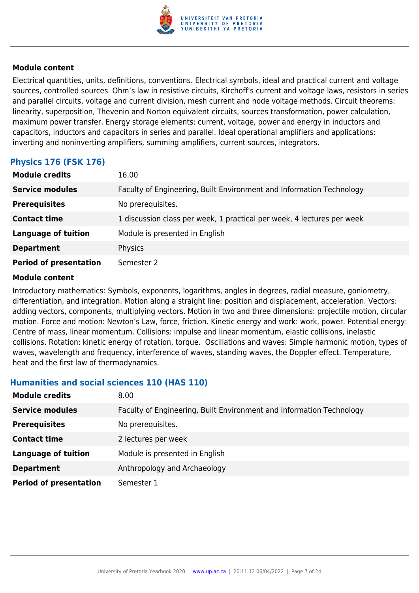

Electrical quantities, units, definitions, conventions. Electrical symbols, ideal and practical current and voltage sources, controlled sources. Ohm's law in resistive circuits, Kirchoff's current and voltage laws, resistors in series and parallel circuits, voltage and current division, mesh current and node voltage methods. Circuit theorems: linearity, superposition, Thevenin and Norton equivalent circuits, sources transformation, power calculation, maximum power transfer. Energy storage elements: current, voltage, power and energy in inductors and capacitors, inductors and capacitors in series and parallel. Ideal operational amplifiers and applications: inverting and noninverting amplifiers, summing amplifiers, current sources, integrators.

#### **Physics 176 (FSK 176)**

| <b>Module credits</b>         | 16.00                                                                  |
|-------------------------------|------------------------------------------------------------------------|
| <b>Service modules</b>        | Faculty of Engineering, Built Environment and Information Technology   |
| <b>Prerequisites</b>          | No prerequisites.                                                      |
| <b>Contact time</b>           | 1 discussion class per week, 1 practical per week, 4 lectures per week |
| <b>Language of tuition</b>    | Module is presented in English                                         |
| <b>Department</b>             | Physics                                                                |
| <b>Period of presentation</b> | Semester 2                                                             |

#### **Module content**

Introductory mathematics: Symbols, exponents, logarithms, angles in degrees, radial measure, goniometry, differentiation, and integration. Motion along a straight line: position and displacement, acceleration. Vectors: adding vectors, components, multiplying vectors. Motion in two and three dimensions: projectile motion, circular motion. Force and motion: Newton's Law, force, friction. Kinetic energy and work: work, power. Potential energy: Centre of mass, linear momentum. Collisions: impulse and linear momentum, elastic collisions, inelastic collisions. Rotation: kinetic energy of rotation, torque. Oscillations and waves: Simple harmonic motion, types of waves, wavelength and frequency, interference of waves, standing waves, the Doppler effect. Temperature, heat and the first law of thermodynamics.

#### **Humanities and social sciences 110 (HAS 110)**

| <b>Module credits</b>         | 8.00                                                                 |
|-------------------------------|----------------------------------------------------------------------|
| <b>Service modules</b>        | Faculty of Engineering, Built Environment and Information Technology |
| <b>Prerequisites</b>          | No prerequisites.                                                    |
| <b>Contact time</b>           | 2 lectures per week                                                  |
| <b>Language of tuition</b>    | Module is presented in English                                       |
| <b>Department</b>             | Anthropology and Archaeology                                         |
| <b>Period of presentation</b> | Semester 1                                                           |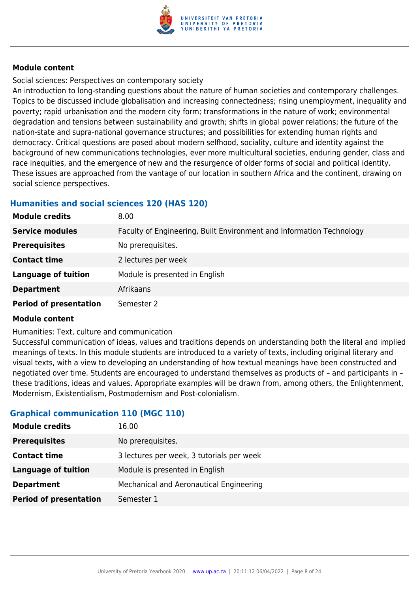

Social sciences: Perspectives on contemporary society

An introduction to long-standing questions about the nature of human societies and contemporary challenges. Topics to be discussed include globalisation and increasing connectedness; rising unemployment, inequality and poverty; rapid urbanisation and the modern city form; transformations in the nature of work; environmental degradation and tensions between sustainability and growth; shifts in global power relations; the future of the nation-state and supra-national governance structures; and possibilities for extending human rights and democracy. Critical questions are posed about modern selfhood, sociality, culture and identity against the background of new communications technologies, ever more multicultural societies, enduring gender, class and race inequities, and the emergence of new and the resurgence of older forms of social and political identity. These issues are approached from the vantage of our location in southern Africa and the continent, drawing on social science perspectives.

#### **Humanities and social sciences 120 (HAS 120)**

| <b>Module credits</b>         | 8.00                                                                 |
|-------------------------------|----------------------------------------------------------------------|
| <b>Service modules</b>        | Faculty of Engineering, Built Environment and Information Technology |
| <b>Prerequisites</b>          | No prerequisites.                                                    |
| <b>Contact time</b>           | 2 lectures per week                                                  |
| <b>Language of tuition</b>    | Module is presented in English                                       |
| <b>Department</b>             | Afrikaans                                                            |
| <b>Period of presentation</b> | Semester 2                                                           |

#### **Module content**

Humanities: Text, culture and communication

Successful communication of ideas, values and traditions depends on understanding both the literal and implied meanings of texts. In this module students are introduced to a variety of texts, including original literary and visual texts, with a view to developing an understanding of how textual meanings have been constructed and negotiated over time. Students are encouraged to understand themselves as products of – and participants in – these traditions, ideas and values. Appropriate examples will be drawn from, among others, the Enlightenment, Modernism, Existentialism, Postmodernism and Post-colonialism.

#### **Graphical communication 110 (MGC 110)**

| <b>Module credits</b>         | 16.00                                     |
|-------------------------------|-------------------------------------------|
| <b>Prerequisites</b>          | No prerequisites.                         |
| <b>Contact time</b>           | 3 lectures per week, 3 tutorials per week |
| <b>Language of tuition</b>    | Module is presented in English            |
| <b>Department</b>             | Mechanical and Aeronautical Engineering   |
| <b>Period of presentation</b> | Semester 1                                |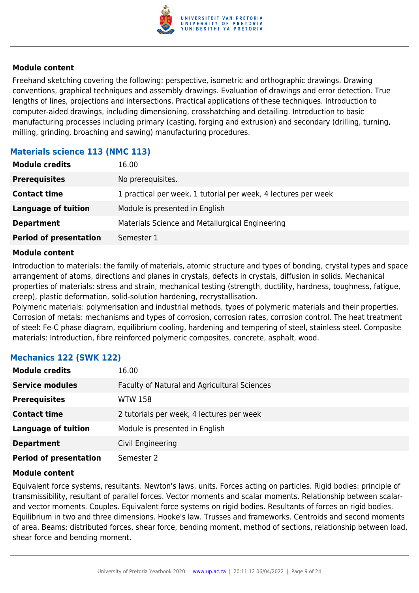

Freehand sketching covering the following: perspective, isometric and orthographic drawings. Drawing conventions, graphical techniques and assembly drawings. Evaluation of drawings and error detection. True lengths of lines, projections and intersections. Practical applications of these techniques. Introduction to computer-aided drawings, including dimensioning, crosshatching and detailing. Introduction to basic manufacturing processes including primary (casting, forging and extrusion) and secondary (drilling, turning, milling, grinding, broaching and sawing) manufacturing procedures.

#### **Materials science 113 (NMC 113)**

| <b>Module credits</b>         | 16.00                                                          |
|-------------------------------|----------------------------------------------------------------|
| <b>Prerequisites</b>          | No prerequisites.                                              |
| <b>Contact time</b>           | 1 practical per week, 1 tutorial per week, 4 lectures per week |
| <b>Language of tuition</b>    | Module is presented in English                                 |
| <b>Department</b>             | Materials Science and Metallurgical Engineering                |
| <b>Period of presentation</b> | Semester 1                                                     |

#### **Module content**

Introduction to materials: the family of materials, atomic structure and types of bonding, crystal types and space arrangement of atoms, directions and planes in crystals, defects in crystals, diffusion in solids. Mechanical properties of materials: stress and strain, mechanical testing (strength, ductility, hardness, toughness, fatigue, creep), plastic deformation, solid-solution hardening, recrystallisation.

Polymeric materials: polymerisation and industrial methods, types of polymeric materials and their properties. Corrosion of metals: mechanisms and types of corrosion, corrosion rates, corrosion control. The heat treatment of steel: Fe-C phase diagram, equilibrium cooling, hardening and tempering of steel, stainless steel. Composite materials: Introduction, fibre reinforced polymeric composites, concrete, asphalt, wood.

#### **Mechanics 122 (SWK 122)**

| <b>Module credits</b>         | 16.00                                        |
|-------------------------------|----------------------------------------------|
| <b>Service modules</b>        | Faculty of Natural and Agricultural Sciences |
| <b>Prerequisites</b>          | <b>WTW 158</b>                               |
| <b>Contact time</b>           | 2 tutorials per week, 4 lectures per week    |
| <b>Language of tuition</b>    | Module is presented in English               |
| <b>Department</b>             | Civil Engineering                            |
| <b>Period of presentation</b> | Semester 2                                   |

#### **Module content**

Equivalent force systems, resultants. Newton's laws, units. Forces acting on particles. Rigid bodies: principle of transmissibility, resultant of parallel forces. Vector moments and scalar moments. Relationship between scalarand vector moments. Couples. Equivalent force systems on rigid bodies. Resultants of forces on rigid bodies. Equilibrium in two and three dimensions. Hooke's law. Trusses and frameworks. Centroids and second moments of area. Beams: distributed forces, shear force, bending moment, method of sections, relationship between load, shear force and bending moment.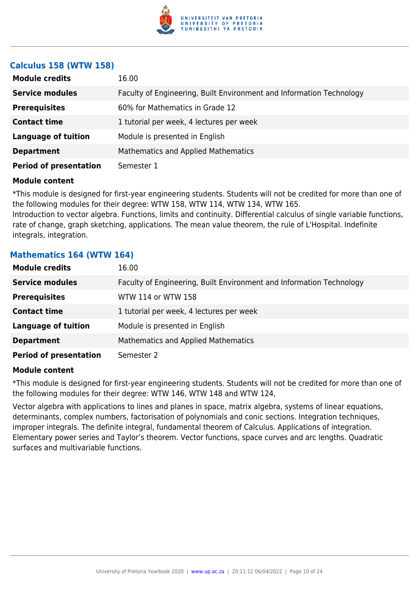

#### **Calculus 158 (WTW 158)**

| <b>Module credits</b>         | 16.00                                                                |  |
|-------------------------------|----------------------------------------------------------------------|--|
| <b>Service modules</b>        | Faculty of Engineering, Built Environment and Information Technology |  |
| <b>Prerequisites</b>          | 60% for Mathematics in Grade 12                                      |  |
| <b>Contact time</b>           | 1 tutorial per week, 4 lectures per week                             |  |
| <b>Language of tuition</b>    | Module is presented in English                                       |  |
| <b>Department</b>             | <b>Mathematics and Applied Mathematics</b>                           |  |
| <b>Period of presentation</b> | Semester 1                                                           |  |

#### **Module content**

\*This module is designed for first-year engineering students. Students will not be credited for more than one of the following modules for their degree: WTW 158, WTW 114, WTW 134, WTW 165.

Introduction to vector algebra. Functions, limits and continuity. Differential calculus of single variable functions, rate of change, graph sketching, applications. The mean value theorem, the rule of L'Hospital. Indefinite integrals, integration.

#### **Mathematics 164 (WTW 164)**

| <b>Module credits</b>         | 16.00                                                                |
|-------------------------------|----------------------------------------------------------------------|
| <b>Service modules</b>        | Faculty of Engineering, Built Environment and Information Technology |
| <b>Prerequisites</b>          | WTW 114 or WTW 158                                                   |
| <b>Contact time</b>           | 1 tutorial per week, 4 lectures per week                             |
| <b>Language of tuition</b>    | Module is presented in English                                       |
| <b>Department</b>             | <b>Mathematics and Applied Mathematics</b>                           |
| <b>Period of presentation</b> | Semester 2                                                           |

#### **Module content**

\*This module is designed for first-year engineering students. Students will not be credited for more than one of the following modules for their degree: WTW 146, WTW 148 and WTW 124,

Vector algebra with applications to lines and planes in space, matrix algebra, systems of linear equations, determinants, complex numbers, factorisation of polynomials and conic sections. Integration techniques, improper integrals. The definite integral, fundamental theorem of Calculus. Applications of integration. Elementary power series and Taylor's theorem. Vector functions, space curves and arc lengths. Quadratic surfaces and multivariable functions.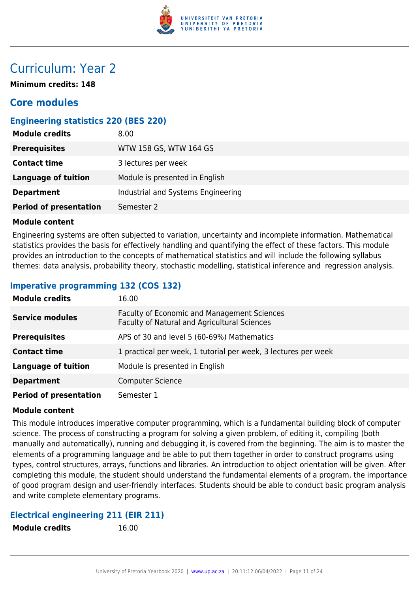

### Curriculum: Year 2

**Minimum credits: 148**

#### **Core modules**

#### **Engineering statistics 220 (BES 220)**

| <b>Module credits</b>         | 8.00                               |
|-------------------------------|------------------------------------|
| <b>Prerequisites</b>          | WTW 158 GS, WTW 164 GS             |
| <b>Contact time</b>           | 3 lectures per week                |
| <b>Language of tuition</b>    | Module is presented in English     |
| <b>Department</b>             | Industrial and Systems Engineering |
| <b>Period of presentation</b> | Semester 2                         |

#### **Module content**

Engineering systems are often subjected to variation, uncertainty and incomplete information. Mathematical statistics provides the basis for effectively handling and quantifying the effect of these factors. This module provides an introduction to the concepts of mathematical statistics and will include the following syllabus themes: data analysis, probability theory, stochastic modelling, statistical inference and regression analysis.

#### **Imperative programming 132 (COS 132)**

| <b>Module credits</b>         | 16.00                                                                                              |
|-------------------------------|----------------------------------------------------------------------------------------------------|
| <b>Service modules</b>        | <b>Faculty of Economic and Management Sciences</b><br>Faculty of Natural and Agricultural Sciences |
| <b>Prerequisites</b>          | APS of 30 and level 5 (60-69%) Mathematics                                                         |
| <b>Contact time</b>           | 1 practical per week, 1 tutorial per week, 3 lectures per week                                     |
| <b>Language of tuition</b>    | Module is presented in English                                                                     |
| <b>Department</b>             | <b>Computer Science</b>                                                                            |
| <b>Period of presentation</b> | Semester 1                                                                                         |

#### **Module content**

This module introduces imperative computer programming, which is a fundamental building block of computer science. The process of constructing a program for solving a given problem, of editing it, compiling (both manually and automatically), running and debugging it, is covered from the beginning. The aim is to master the elements of a programming language and be able to put them together in order to construct programs using types, control structures, arrays, functions and libraries. An introduction to object orientation will be given. After completing this module, the student should understand the fundamental elements of a program, the importance of good program design and user-friendly interfaces. Students should be able to conduct basic program analysis and write complete elementary programs.

#### **Electrical engineering 211 (EIR 211)**

**Module credits** 16.00

|  | <b>Module credits</b> |  |
|--|-----------------------|--|
|--|-----------------------|--|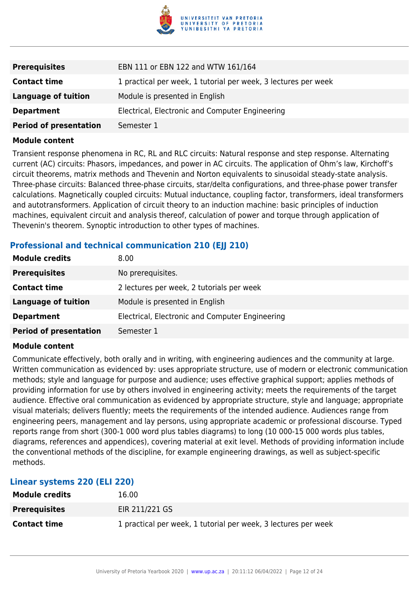

| <b>Prerequisites</b>          | EBN 111 or EBN 122 and WTW 161/164                             |
|-------------------------------|----------------------------------------------------------------|
| <b>Contact time</b>           | 1 practical per week, 1 tutorial per week, 3 lectures per week |
| <b>Language of tuition</b>    | Module is presented in English                                 |
| <b>Department</b>             | Electrical, Electronic and Computer Engineering                |
| <b>Period of presentation</b> | Semester 1                                                     |

Transient response phenomena in RC, RL and RLC circuits: Natural response and step response. Alternating current (AC) circuits: Phasors, impedances, and power in AC circuits. The application of Ohm's law, Kirchoff's circuit theorems, matrix methods and Thevenin and Norton equivalents to sinusoidal steady-state analysis. Three-phase circuits: Balanced three-phase circuits, star/delta configurations, and three-phase power transfer calculations. Magnetically coupled circuits: Mutual inductance, coupling factor, transformers, ideal transformers and autotransformers. Application of circuit theory to an induction machine: basic principles of induction machines, equivalent circuit and analysis thereof, calculation of power and torque through application of Thevenin's theorem. Synoptic introduction to other types of machines.

#### **Professional and technical communication 210 (EII 210)**

| <b>Module credits</b>         | 8.00                                            |
|-------------------------------|-------------------------------------------------|
| <b>Prerequisites</b>          | No prerequisites.                               |
| <b>Contact time</b>           | 2 lectures per week, 2 tutorials per week       |
| Language of tuition           | Module is presented in English                  |
| <b>Department</b>             | Electrical, Electronic and Computer Engineering |
| <b>Period of presentation</b> | Semester 1                                      |

#### **Module content**

Communicate effectively, both orally and in writing, with engineering audiences and the community at large. Written communication as evidenced by: uses appropriate structure, use of modern or electronic communication methods; style and language for purpose and audience; uses effective graphical support; applies methods of providing information for use by others involved in engineering activity; meets the requirements of the target audience. Effective oral communication as evidenced by appropriate structure, style and language; appropriate visual materials; delivers fluently; meets the requirements of the intended audience. Audiences range from engineering peers, management and lay persons, using appropriate academic or professional discourse. Typed reports range from short (300-1 000 word plus tables diagrams) to long (10 000-15 000 words plus tables, diagrams, references and appendices), covering material at exit level. Methods of providing information include the conventional methods of the discipline, for example engineering drawings, as well as subject-specific methods.

| Linear systems 220 (ELI 220) |                                                                |  |
|------------------------------|----------------------------------------------------------------|--|
| <b>Module credits</b>        | 16.00                                                          |  |
| <b>Prerequisites</b>         | EIR 211/221 GS                                                 |  |
| <b>Contact time</b>          | 1 practical per week, 1 tutorial per week, 3 lectures per week |  |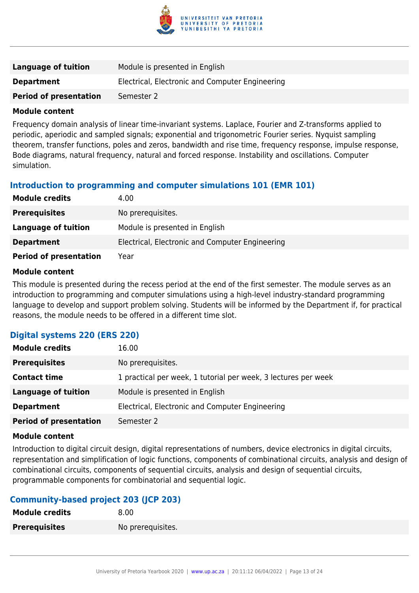

| Language of tuition           | Module is presented in English                  |
|-------------------------------|-------------------------------------------------|
| <b>Department</b>             | Electrical, Electronic and Computer Engineering |
| <b>Period of presentation</b> | Semester 2                                      |

Frequency domain analysis of linear time-invariant systems. Laplace, Fourier and Z-transforms applied to periodic, aperiodic and sampled signals; exponential and trigonometric Fourier series. Nyquist sampling theorem, transfer functions, poles and zeros, bandwidth and rise time, frequency response, impulse response, Bode diagrams, natural frequency, natural and forced response. Instability and oscillations. Computer simulation.

#### **Introduction to programming and computer simulations 101 (EMR 101)**

| <b>Module credits</b>         | 4.00                                            |
|-------------------------------|-------------------------------------------------|
| <b>Prerequisites</b>          | No prerequisites.                               |
| Language of tuition           | Module is presented in English                  |
| <b>Department</b>             | Electrical, Electronic and Computer Engineering |
| <b>Period of presentation</b> | Year                                            |

#### **Module content**

This module is presented during the recess period at the end of the first semester. The module serves as an introduction to programming and computer simulations using a high-level industry-standard programming language to develop and support problem solving. Students will be informed by the Department if, for practical reasons, the module needs to be offered in a different time slot.

#### **Digital systems 220 (ERS 220)**

| <b>Module credits</b>         | 16.00                                                          |
|-------------------------------|----------------------------------------------------------------|
| <b>Prerequisites</b>          | No prerequisites.                                              |
| <b>Contact time</b>           | 1 practical per week, 1 tutorial per week, 3 lectures per week |
| Language of tuition           | Module is presented in English                                 |
| <b>Department</b>             | Electrical, Electronic and Computer Engineering                |
| <b>Period of presentation</b> | Semester 2                                                     |

#### **Module content**

Introduction to digital circuit design, digital representations of numbers, device electronics in digital circuits, representation and simplification of logic functions, components of combinational circuits, analysis and design of combinational circuits, components of sequential circuits, analysis and design of sequential circuits, programmable components for combinatorial and sequential logic.

#### **Community-based project 203 (JCP 203)**

| <b>Module credits</b> | 8.00              |
|-----------------------|-------------------|
| <b>Prerequisites</b>  | No prerequisites. |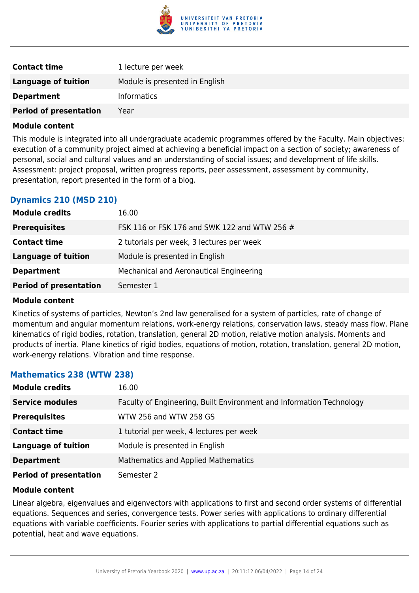

| <b>Contact time</b>           | 1 lecture per week             |
|-------------------------------|--------------------------------|
| Language of tuition           | Module is presented in English |
| <b>Department</b>             | <b>Informatics</b>             |
| <b>Period of presentation</b> | Year                           |

This module is integrated into all undergraduate academic programmes offered by the Faculty. Main objectives: execution of a community project aimed at achieving a beneficial impact on a section of society; awareness of personal, social and cultural values and an understanding of social issues; and development of life skills. Assessment: project proposal, written progress reports, peer assessment, assessment by community, presentation, report presented in the form of a blog.

#### **Dynamics 210 (MSD 210)**

| <b>Module credits</b>         | 16.00                                        |
|-------------------------------|----------------------------------------------|
| <b>Prerequisites</b>          | FSK 116 or FSK 176 and SWK 122 and WTW 256 # |
| <b>Contact time</b>           | 2 tutorials per week, 3 lectures per week    |
| Language of tuition           | Module is presented in English               |
| <b>Department</b>             | Mechanical and Aeronautical Engineering      |
| <b>Period of presentation</b> | Semester 1                                   |

#### **Module content**

Kinetics of systems of particles, Newton's 2nd law generalised for a system of particles, rate of change of momentum and angular momentum relations, work-energy relations, conservation laws, steady mass flow. Plane kinematics of rigid bodies, rotation, translation, general 2D motion, relative motion analysis. Moments and products of inertia. Plane kinetics of rigid bodies, equations of motion, rotation, translation, general 2D motion, work-energy relations. Vibration and time response.

#### **Mathematics 238 (WTW 238)**

| <b>Module credits</b>         | 16.00                                                                |
|-------------------------------|----------------------------------------------------------------------|
| <b>Service modules</b>        | Faculty of Engineering, Built Environment and Information Technology |
| <b>Prerequisites</b>          | WTW 256 and WTW 258 GS                                               |
| <b>Contact time</b>           | 1 tutorial per week, 4 lectures per week                             |
| <b>Language of tuition</b>    | Module is presented in English                                       |
| <b>Department</b>             | <b>Mathematics and Applied Mathematics</b>                           |
| <b>Period of presentation</b> | Semester 2                                                           |

#### **Module content**

Linear algebra, eigenvalues and eigenvectors with applications to first and second order systems of differential equations. Sequences and series, convergence tests. Power series with applications to ordinary differential equations with variable coefficients. Fourier series with applications to partial differential equations such as potential, heat and wave equations.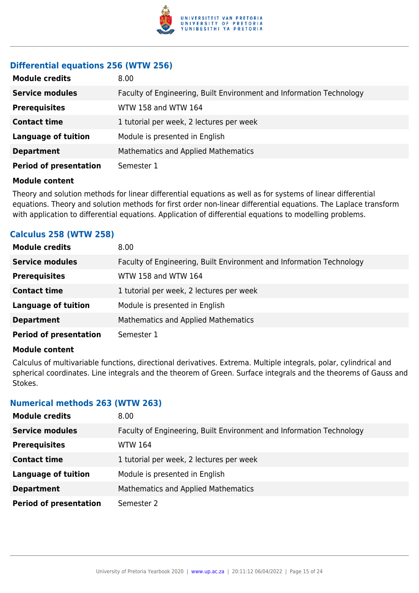

#### **Differential equations 256 (WTW 256)**

| <b>Module credits</b>         | 8.00                                                                 |
|-------------------------------|----------------------------------------------------------------------|
| <b>Service modules</b>        | Faculty of Engineering, Built Environment and Information Technology |
| <b>Prerequisites</b>          | WTW 158 and WTW 164                                                  |
| <b>Contact time</b>           | 1 tutorial per week, 2 lectures per week                             |
| <b>Language of tuition</b>    | Module is presented in English                                       |
| <b>Department</b>             | <b>Mathematics and Applied Mathematics</b>                           |
| <b>Period of presentation</b> | Semester 1                                                           |

#### **Module content**

Theory and solution methods for linear differential equations as well as for systems of linear differential equations. Theory and solution methods for first order non-linear differential equations. The Laplace transform with application to differential equations. Application of differential equations to modelling problems.

#### **Calculus 258 (WTW 258)**

| <b>Module credits</b>         | 8.00                                                                 |
|-------------------------------|----------------------------------------------------------------------|
| <b>Service modules</b>        | Faculty of Engineering, Built Environment and Information Technology |
| <b>Prerequisites</b>          | WTW 158 and WTW 164                                                  |
| <b>Contact time</b>           | 1 tutorial per week, 2 lectures per week                             |
| <b>Language of tuition</b>    | Module is presented in English                                       |
| <b>Department</b>             | Mathematics and Applied Mathematics                                  |
| <b>Period of presentation</b> | Semester 1                                                           |

#### **Module content**

Calculus of multivariable functions, directional derivatives. Extrema. Multiple integrals, polar, cylindrical and spherical coordinates. Line integrals and the theorem of Green. Surface integrals and the theorems of Gauss and Stokes.

#### **Numerical methods 263 (WTW 263)**

| <b>Module credits</b>         | 8.00                                                                 |
|-------------------------------|----------------------------------------------------------------------|
| <b>Service modules</b>        | Faculty of Engineering, Built Environment and Information Technology |
| <b>Prerequisites</b>          | WTW 164                                                              |
| <b>Contact time</b>           | 1 tutorial per week, 2 lectures per week                             |
| <b>Language of tuition</b>    | Module is presented in English                                       |
| <b>Department</b>             | <b>Mathematics and Applied Mathematics</b>                           |
| <b>Period of presentation</b> | Semester 2                                                           |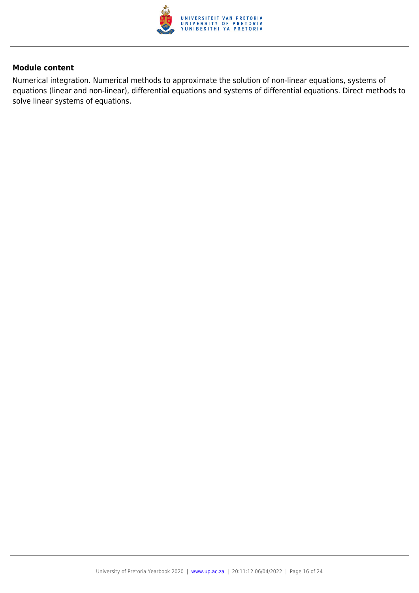

Numerical integration. Numerical methods to approximate the solution of non-linear equations, systems of equations (linear and non-linear), differential equations and systems of differential equations. Direct methods to solve linear systems of equations.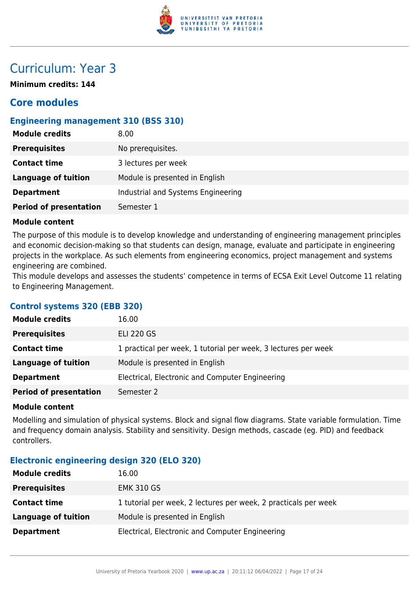

## Curriculum: Year 3

**Minimum credits: 144**

### **Core modules**

#### **Engineering management 310 (BSS 310)**

| <b>Module credits</b>         | 8.00                               |
|-------------------------------|------------------------------------|
| <b>Prerequisites</b>          | No prerequisites.                  |
| <b>Contact time</b>           | 3 lectures per week                |
| Language of tuition           | Module is presented in English     |
| <b>Department</b>             | Industrial and Systems Engineering |
| <b>Period of presentation</b> | Semester 1                         |

#### **Module content**

The purpose of this module is to develop knowledge and understanding of engineering management principles and economic decision-making so that students can design, manage, evaluate and participate in engineering projects in the workplace. As such elements from engineering economics, project management and systems engineering are combined.

This module develops and assesses the students' competence in terms of ECSA Exit Level Outcome 11 relating to Engineering Management.

#### **Control systems 320 (EBB 320)**

| <b>Module credits</b>         | 16.00                                                          |
|-------------------------------|----------------------------------------------------------------|
| <b>Prerequisites</b>          | <b>ELI 220 GS</b>                                              |
| <b>Contact time</b>           | 1 practical per week, 1 tutorial per week, 3 lectures per week |
| <b>Language of tuition</b>    | Module is presented in English                                 |
| <b>Department</b>             | Electrical, Electronic and Computer Engineering                |
| <b>Period of presentation</b> | Semester 2                                                     |

#### **Module content**

Modelling and simulation of physical systems. Block and signal flow diagrams. State variable formulation. Time and frequency domain analysis. Stability and sensitivity. Design methods, cascade (eg. PID) and feedback controllers.

#### **Electronic engineering design 320 (ELO 320)**

| <b>Module credits</b> | 16.00                                                           |
|-----------------------|-----------------------------------------------------------------|
| <b>Prerequisites</b>  | <b>EMK 310 GS</b>                                               |
| <b>Contact time</b>   | 1 tutorial per week, 2 lectures per week, 2 practicals per week |
| Language of tuition   | Module is presented in English                                  |
| <b>Department</b>     | Electrical, Electronic and Computer Engineering                 |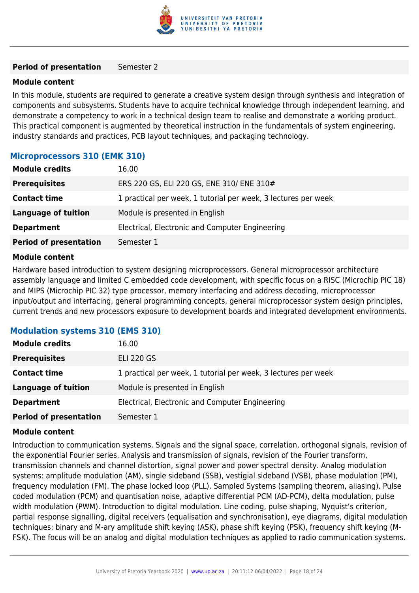

#### **Period of presentation** Semester 2

#### **Module content**

In this module, students are required to generate a creative system design through synthesis and integration of components and subsystems. Students have to acquire technical knowledge through independent learning, and demonstrate a competency to work in a technical design team to realise and demonstrate a working product. This practical component is augmented by theoretical instruction in the fundamentals of system engineering, industry standards and practices, PCB layout techniques, and packaging technology.

#### **Microprocessors 310 (EMK 310)**

| <b>Module credits</b>         | 16.00                                                          |
|-------------------------------|----------------------------------------------------------------|
| <b>Prerequisites</b>          | ERS 220 GS, ELI 220 GS, ENE 310/ ENE 310#                      |
| <b>Contact time</b>           | 1 practical per week, 1 tutorial per week, 3 lectures per week |
| <b>Language of tuition</b>    | Module is presented in English                                 |
| <b>Department</b>             | Electrical, Electronic and Computer Engineering                |
| <b>Period of presentation</b> | Semester 1                                                     |

#### **Module content**

Hardware based introduction to system designing microprocessors. General microprocessor architecture assembly language and limited C embedded code development, with specific focus on a RISC (Microchip PIC 18) and MIPS (Microchip PIC 32) type processor, memory interfacing and address decoding, microprocessor input/output and interfacing, general programming concepts, general microprocessor system design principles, current trends and new processors exposure to development boards and integrated development environments.

#### **Modulation systems 310 (EMS 310)**

| <b>Module credits</b>         | 16.00                                                          |
|-------------------------------|----------------------------------------------------------------|
| <b>Prerequisites</b>          | <b>ELI 220 GS</b>                                              |
| <b>Contact time</b>           | 1 practical per week, 1 tutorial per week, 3 lectures per week |
| <b>Language of tuition</b>    | Module is presented in English                                 |
| <b>Department</b>             | Electrical, Electronic and Computer Engineering                |
| <b>Period of presentation</b> | Semester 1                                                     |

#### **Module content**

Introduction to communication systems. Signals and the signal space, correlation, orthogonal signals, revision of the exponential Fourier series. Analysis and transmission of signals, revision of the Fourier transform, transmission channels and channel distortion, signal power and power spectral density. Analog modulation systems: amplitude modulation (AM), single sideband (SSB), vestigial sideband (VSB), phase modulation (PM), frequency modulation (FM). The phase locked loop (PLL). Sampled Systems (sampling theorem, aliasing). Pulse coded modulation (PCM) and quantisation noise, adaptive differential PCM (AD-PCM), delta modulation, pulse width modulation (PWM). Introduction to digital modulation. Line coding, pulse shaping, Nyquist's criterion, partial response signalling, digital receivers (equalisation and synchronisation), eye diagrams, digital modulation techniques: binary and M-ary amplitude shift keying (ASK), phase shift keying (PSK), frequency shift keying (M-FSK). The focus will be on analog and digital modulation techniques as applied to radio communication systems.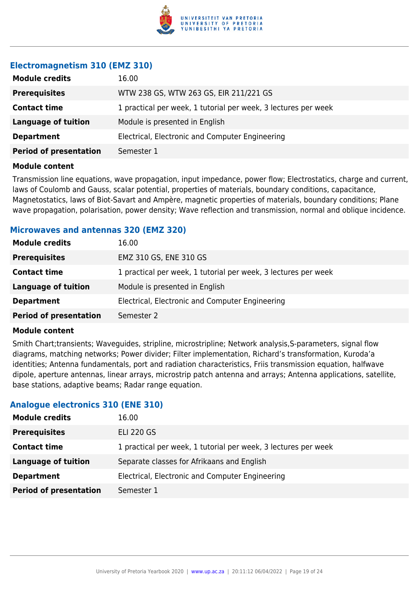

#### **Electromagnetism 310 (EMZ 310)**

| <b>Module credits</b>         | 16.00                                                          |
|-------------------------------|----------------------------------------------------------------|
| <b>Prerequisites</b>          | WTW 238 GS, WTW 263 GS, EIR 211/221 GS                         |
| <b>Contact time</b>           | 1 practical per week, 1 tutorial per week, 3 lectures per week |
| <b>Language of tuition</b>    | Module is presented in English                                 |
| <b>Department</b>             | Electrical, Electronic and Computer Engineering                |
| <b>Period of presentation</b> | Semester 1                                                     |
|                               |                                                                |

#### **Module content**

Transmission line equations, wave propagation, input impedance, power flow; Electrostatics, charge and current, laws of Coulomb and Gauss, scalar potential, properties of materials, boundary conditions, capacitance, Magnetostatics, laws of Biot-Savart and Ampère, magnetic properties of materials, boundary conditions; Plane wave propagation, polarisation, power density; Wave reflection and transmission, normal and oblique incidence.

#### **Microwaves and antennas 320 (EMZ 320)**

| <b>Module credits</b>         | 16.00                                                          |
|-------------------------------|----------------------------------------------------------------|
| <b>Prerequisites</b>          | EMZ 310 GS, ENE 310 GS                                         |
| <b>Contact time</b>           | 1 practical per week, 1 tutorial per week, 3 lectures per week |
| Language of tuition           | Module is presented in English                                 |
| <b>Department</b>             | Electrical, Electronic and Computer Engineering                |
| <b>Period of presentation</b> | Semester 2                                                     |

#### **Module content**

Smith Chart;transients; Waveguides, stripline, microstripline; Network analysis,S-parameters, signal flow diagrams, matching networks; Power divider; Filter implementation, Richard's transformation, Kuroda'a identities; Antenna fundamentals, port and radiation characteristics, Friis transmission equation, halfwave dipole, aperture antennas, linear arrays, microstrip patch antenna and arrays; Antenna applications, satellite, base stations, adaptive beams; Radar range equation.

#### **Analogue electronics 310 (ENE 310)**

| <b>Module credits</b>         | 16.00                                                          |
|-------------------------------|----------------------------------------------------------------|
| <b>Prerequisites</b>          | <b>ELI 220 GS</b>                                              |
| <b>Contact time</b>           | 1 practical per week, 1 tutorial per week, 3 lectures per week |
| Language of tuition           | Separate classes for Afrikaans and English                     |
| <b>Department</b>             | Electrical, Electronic and Computer Engineering                |
| <b>Period of presentation</b> | Semester 1                                                     |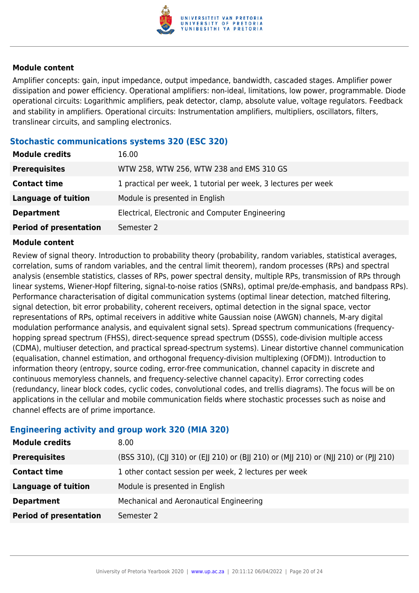

Amplifier concepts: gain, input impedance, output impedance, bandwidth, cascaded stages. Amplifier power dissipation and power efficiency. Operational amplifiers: non-ideal, limitations, low power, programmable. Diode operational circuits: Logarithmic amplifiers, peak detector, clamp, absolute value, voltage regulators. Feedback and stability in amplifiers. Operational circuits: Instrumentation amplifiers, multipliers, oscillators, filters, translinear circuits, and sampling electronics.

#### **Stochastic communications systems 320 (ESC 320)**

| <b>Module credits</b>         | 16.00                                                          |
|-------------------------------|----------------------------------------------------------------|
| <b>Prerequisites</b>          | WTW 258, WTW 256, WTW 238 and EMS 310 GS                       |
| <b>Contact time</b>           | 1 practical per week, 1 tutorial per week, 3 lectures per week |
| <b>Language of tuition</b>    | Module is presented in English                                 |
| <b>Department</b>             | Electrical, Electronic and Computer Engineering                |
| <b>Period of presentation</b> | Semester 2                                                     |

#### **Module content**

Review of signal theory. Introduction to probability theory (probability, random variables, statistical averages, correlation, sums of random variables, and the central limit theorem), random processes (RPs) and spectral analysis (ensemble statistics, classes of RPs, power spectral density, multiple RPs, transmission of RPs through linear systems, Wiener-Hopf filtering, signal-to-noise ratios (SNRs), optimal pre/de-emphasis, and bandpass RPs). Performance characterisation of digital communication systems (optimal linear detection, matched filtering, signal detection, bit error probability, coherent receivers, optimal detection in the signal space, vector representations of RPs, optimal receivers in additive white Gaussian noise (AWGN) channels, M-ary digital modulation performance analysis, and equivalent signal sets). Spread spectrum communications (frequencyhopping spread spectrum (FHSS), direct-sequence spread spectrum (DSSS), code-division multiple access (CDMA), multiuser detection, and practical spread-spectrum systems). Linear distortive channel communication (equalisation, channel estimation, and orthogonal frequency-division multiplexing (OFDM)). Introduction to information theory (entropy, source coding, error-free communication, channel capacity in discrete and continuous memoryless channels, and frequency-selective channel capacity). Error correcting codes (redundancy, linear block codes, cyclic codes, convolutional codes, and trellis diagrams). The focus will be on applications in the cellular and mobile communication fields where stochastic processes such as noise and channel effects are of prime importance.

#### **Engineering activity and group work 320 (MIA 320)**

| <b>Module credits</b>         | 8.00                                                                                  |
|-------------------------------|---------------------------------------------------------------------------------------|
| <b>Prerequisites</b>          | (BSS 310), (CJJ 310) or (EJJ 210) or (BJJ 210) or (MJJ 210) or (NJJ 210) or (PJJ 210) |
| <b>Contact time</b>           | 1 other contact session per week, 2 lectures per week                                 |
| <b>Language of tuition</b>    | Module is presented in English                                                        |
| <b>Department</b>             | Mechanical and Aeronautical Engineering                                               |
| <b>Period of presentation</b> | Semester 2                                                                            |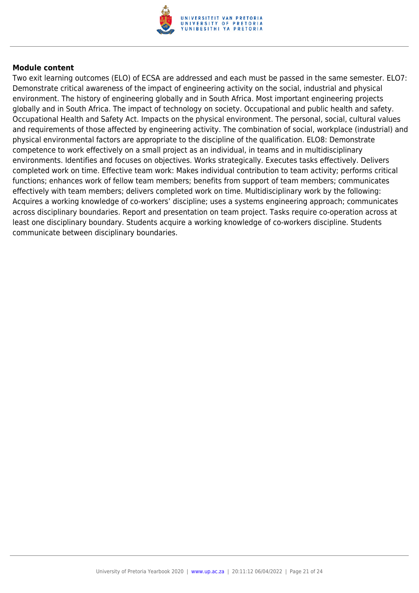

Two exit learning outcomes (ELO) of ECSA are addressed and each must be passed in the same semester. ELO7: Demonstrate critical awareness of the impact of engineering activity on the social, industrial and physical environment. The history of engineering globally and in South Africa. Most important engineering projects globally and in South Africa. The impact of technology on society. Occupational and public health and safety. Occupational Health and Safety Act. Impacts on the physical environment. The personal, social, cultural values and requirements of those affected by engineering activity. The combination of social, workplace (industrial) and physical environmental factors are appropriate to the discipline of the qualification. ELO8: Demonstrate competence to work effectively on a small project as an individual, in teams and in multidisciplinary environments. Identifies and focuses on objectives. Works strategically. Executes tasks effectively. Delivers completed work on time. Effective team work: Makes individual contribution to team activity; performs critical functions; enhances work of fellow team members; benefits from support of team members; communicates effectively with team members; delivers completed work on time. Multidisciplinary work by the following: Acquires a working knowledge of co-workers' discipline; uses a systems engineering approach; communicates across disciplinary boundaries. Report and presentation on team project. Tasks require co-operation across at least one disciplinary boundary. Students acquire a working knowledge of co-workers discipline. Students communicate between disciplinary boundaries.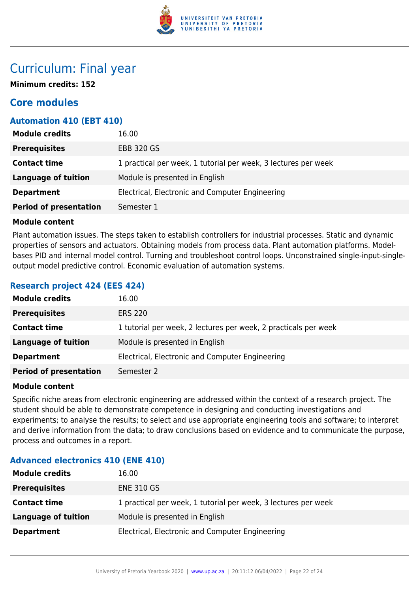

### Curriculum: Final year

**Minimum credits: 152**

### **Core modules**

#### **Automation 410 (EBT 410)**

| <b>Module credits</b>         | 16.00                                                          |
|-------------------------------|----------------------------------------------------------------|
| <b>Prerequisites</b>          | <b>EBB 320 GS</b>                                              |
| <b>Contact time</b>           | 1 practical per week, 1 tutorial per week, 3 lectures per week |
| Language of tuition           | Module is presented in English                                 |
| <b>Department</b>             | Electrical, Electronic and Computer Engineering                |
| <b>Period of presentation</b> | Semester 1                                                     |

#### **Module content**

Plant automation issues. The steps taken to establish controllers for industrial processes. Static and dynamic properties of sensors and actuators. Obtaining models from process data. Plant automation platforms. Modelbases PID and internal model control. Turning and troubleshoot control loops. Unconstrained single-input-singleoutput model predictive control. Economic evaluation of automation systems.

#### **Research project 424 (EES 424)**

| <b>Module credits</b>         | 16.00                                                           |
|-------------------------------|-----------------------------------------------------------------|
| <b>Prerequisites</b>          | <b>ERS 220</b>                                                  |
| <b>Contact time</b>           | 1 tutorial per week, 2 lectures per week, 2 practicals per week |
| <b>Language of tuition</b>    | Module is presented in English                                  |
| <b>Department</b>             | Electrical, Electronic and Computer Engineering                 |
| <b>Period of presentation</b> | Semester 2                                                      |

#### **Module content**

Specific niche areas from electronic engineering are addressed within the context of a research project. The student should be able to demonstrate competence in designing and conducting investigations and experiments; to analyse the results; to select and use appropriate engineering tools and software; to interpret and derive information from the data; to draw conclusions based on evidence and to communicate the purpose, process and outcomes in a report.

#### **Advanced electronics 410 (ENE 410)**

| <b>Module credits</b> | 16.00                                                          |
|-----------------------|----------------------------------------------------------------|
| <b>Prerequisites</b>  | <b>ENE 310 GS</b>                                              |
| <b>Contact time</b>   | 1 practical per week, 1 tutorial per week, 3 lectures per week |
| Language of tuition   | Module is presented in English                                 |
| <b>Department</b>     | Electrical, Electronic and Computer Engineering                |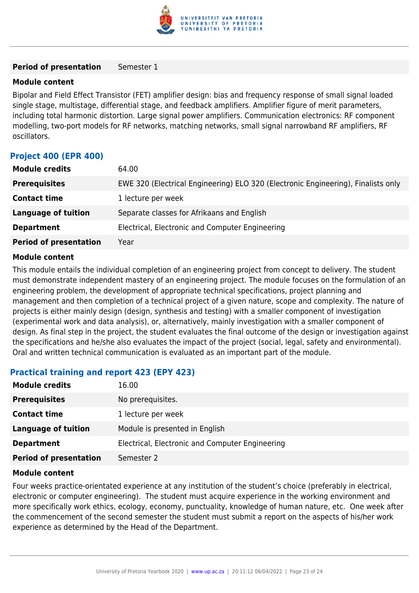

#### **Period of presentation** Semester 1

#### **Module content**

Bipolar and Field Effect Transistor (FET) amplifier design: bias and frequency response of small signal loaded single stage, multistage, differential stage, and feedback amplifiers. Amplifier figure of merit parameters, including total harmonic distortion. Large signal power amplifiers. Communication electronics: RF component modelling, two-port models for RF networks, matching networks, small signal narrowband RF amplifiers, RF oscillators.

#### **Project 400 (EPR 400)**

| 64.00                                                                             |
|-----------------------------------------------------------------------------------|
| EWE 320 (Electrical Engineering) ELO 320 (Electronic Engineering), Finalists only |
| 1 lecture per week                                                                |
| Separate classes for Afrikaans and English                                        |
| Electrical, Electronic and Computer Engineering                                   |
| Year                                                                              |
|                                                                                   |

#### **Module content**

This module entails the individual completion of an engineering project from concept to delivery. The student must demonstrate independent mastery of an engineering project. The module focuses on the formulation of an engineering problem, the development of appropriate technical specifications, project planning and management and then completion of a technical project of a given nature, scope and complexity. The nature of projects is either mainly design (design, synthesis and testing) with a smaller component of investigation (experimental work and data analysis), or, alternatively, mainly investigation with a smaller component of design. As final step in the project, the student evaluates the final outcome of the design or investigation against the specifications and he/she also evaluates the impact of the project (social, legal, safety and environmental). Oral and written technical communication is evaluated as an important part of the module.

#### **Practical training and report 423 (EPY 423)**

| <b>Module credits</b>         | 16.00                                           |
|-------------------------------|-------------------------------------------------|
| <b>Prerequisites</b>          | No prerequisites.                               |
| <b>Contact time</b>           | 1 lecture per week                              |
| <b>Language of tuition</b>    | Module is presented in English                  |
| <b>Department</b>             | Electrical, Electronic and Computer Engineering |
| <b>Period of presentation</b> | Semester 2                                      |

#### **Module content**

Four weeks practice-orientated experience at any institution of the student's choice (preferably in electrical, electronic or computer engineering). The student must acquire experience in the working environment and more specifically work ethics, ecology, economy, punctuality, knowledge of human nature, etc. One week after the commencement of the second semester the student must submit a report on the aspects of his/her work experience as determined by the Head of the Department.